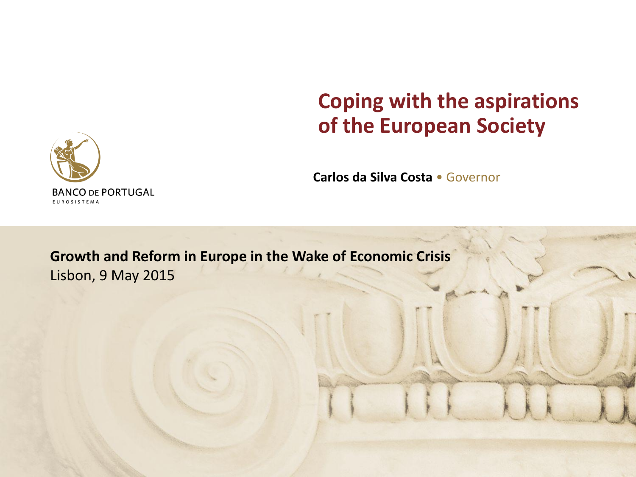# **Coping with the aspirations of the European Society**

**Carlos da Silva Costa** • Governor

**Growth and Reform in Europe in the Wake of Economic Crisis** Lisbon, 9 May 2015

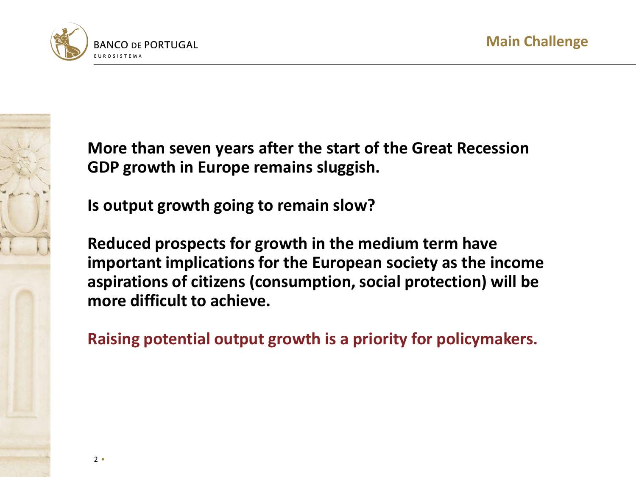

**More than seven years after the start of the Great Recession GDP growth in Europe remains sluggish.** 

**Is output growth going to remain slow?**

**Reduced prospects for growth in the medium term have important implications for the European society as the income aspirations of citizens (consumption, social protection) will be more difficult to achieve.** 

**Raising potential output growth is a priority for policymakers.**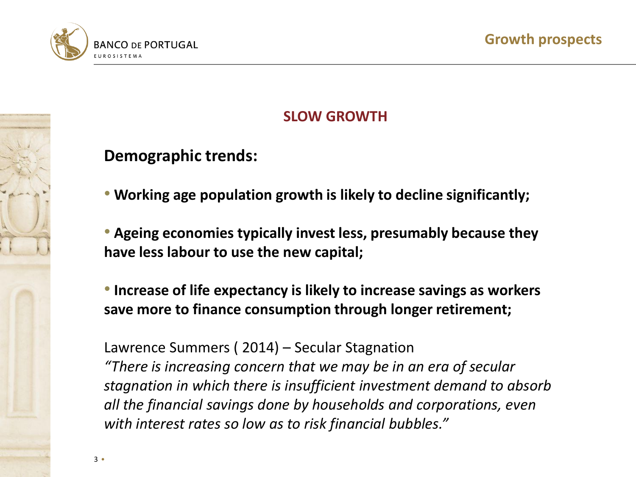

# **SLOW GROWTH**

# **Demographic trends:**

• **Working age population growth is likely to decline significantly;**

• **Ageing economies typically invest less, presumably because they have less labour to use the new capital;**

• **Increase of life expectancy is likely to increase savings as workers save more to finance consumption through longer retirement;**

Lawrence Summers ( 2014) – Secular Stagnation

*"There is increasing concern that we may be in an era of secular stagnation in which there is insufficient investment demand to absorb all the financial savings done by households and corporations, even with interest rates so low as to risk financial bubbles."*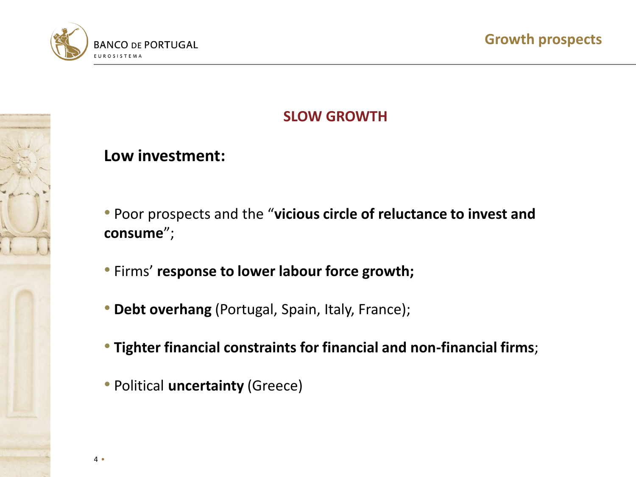

## **SLOW GROWTH**

### **Low investment:**

- Poor prospects and the "**vicious circle of reluctance to invest and consume**";
- Firms' **response to lower labour force growth;**
- **Debt overhang** (Portugal, Spain, Italy, France);
- **Tighter financial constraints for financial and non-financial firms**;
- Political **uncertainty** (Greece)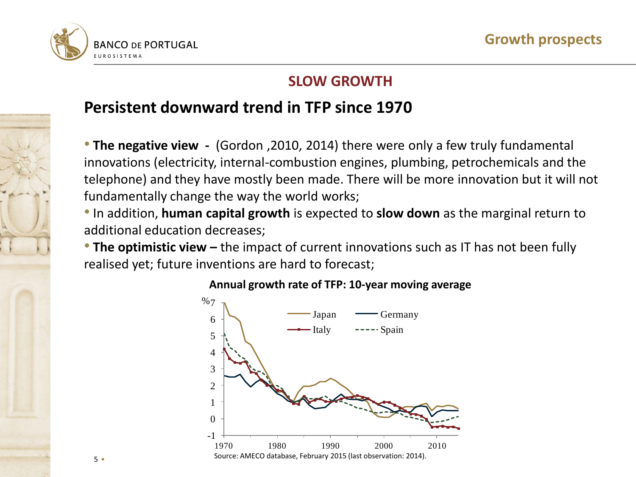

### **SLOW GROWTH**

# **Persistent downward trend in TFP since 1970**

• **The negative view -** (Gordon ,2010, 2014) there were only a few truly fundamental innovations (electricity, internal-combustion engines, plumbing, petrochemicals and the telephone) and they have mostly been made. There will be more innovation but it will not fundamentally change the way the world works;

• In addition, **human capital growth** is expected to **slow down** as the marginal return to additional education decreases;

• **The optimistic view –** the impact of current innovations such as IT has not been fully realised yet; future inventions are hard to forecast;



#### **Annual growth rate of TFP: 10-year moving average**

5 •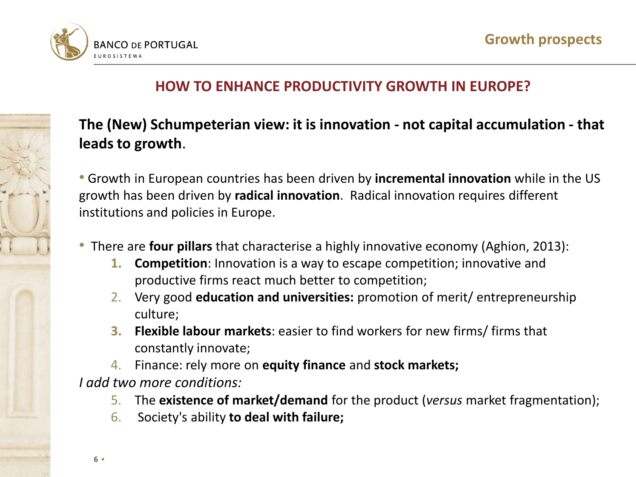

### **HOW TO ENHANCE PRODUCTIVITY GROWTH IN EUROPE?**

# **The (New) Schumpeterian view: it is innovation - not capital accumulation - that leads to growth**.

• Growth in European countries has been driven by **incremental innovation** while in the US growth has been driven by **radical innovation**. Radical innovation requires different institutions and policies in Europe.

- There are **four pillars** that characterise a highly innovative economy (Aghion, 2013):
	- **1. Competition**: Innovation is a way to escape competition; innovative and productive firms react much better to competition;
	- 2. Very good **education and universities:** promotion of merit/ entrepreneurship culture;
	- **3. Flexible labour markets**: easier to find workers for new firms/ firms that constantly innovate;
	- 4. Finance: rely more on **equity finance** and **stock markets;**

*I add two more conditions:*

- 5. The **existence of market/demand** for the product (*versus* market fragmentation);
- 6. Society's ability **to deal with failure;**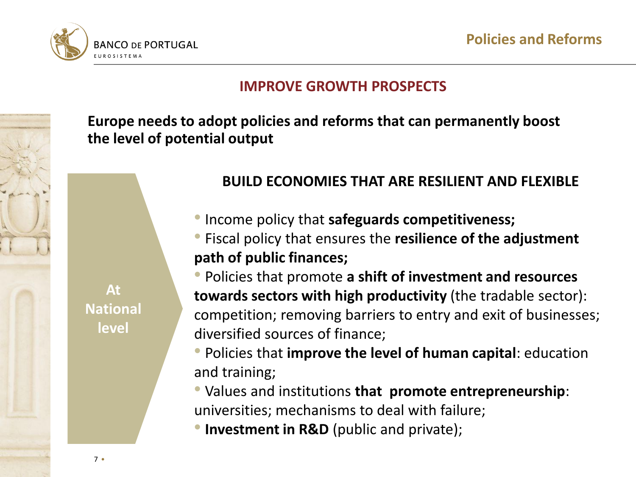



### **IMPROVE GROWTH PROSPECTS**

**Europe needs to adopt policies and reforms that can permanently boost the level of potential output**

**At National level**

### **BUILD ECONOMIES THAT ARE RESILIENT AND FLEXIBLE**

•Income policy that **safeguards competitiveness;**

• Fiscal policy that ensures the **resilience of the adjustment path of public finances;**

• Policies that promote **a shift of investment and resources towards sectors with high productivity** (the tradable sector): competition; removing barriers to entry and exit of businesses; diversified sources of finance;

• Policies that **improve the level of human capital**: education and training;

• Values and institutions **that promote entrepreneurship**: universities; mechanisms to deal with failure;

**• Investment in R&D** (public and private);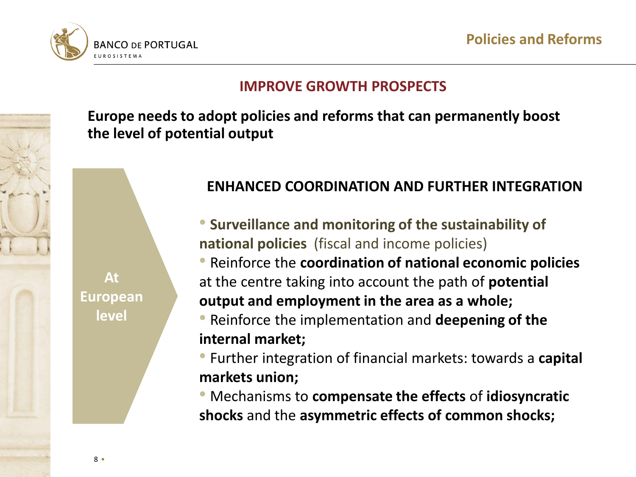



### **IMPROVE GROWTH PROSPECTS**

**Europe needs to adopt policies and reforms that can permanently boost the level of potential output**

**At European level**

## **ENHANCED COORDINATION AND FURTHER INTEGRATION**

- **Surveillance and monitoring of the sustainability of national policies** (fiscal and income policies)
- Reinforce the **coordination of national economic policies**  at the centre taking into account the path of **potential output and employment in the area as a whole;**
- Reinforce the implementation and **deepening of the internal market;**
- Further integration of financial markets: towards a **capital markets union;**
- Mechanisms to **compensate the effects** of **idiosyncratic shocks** and the **asymmetric effects of common shocks;**